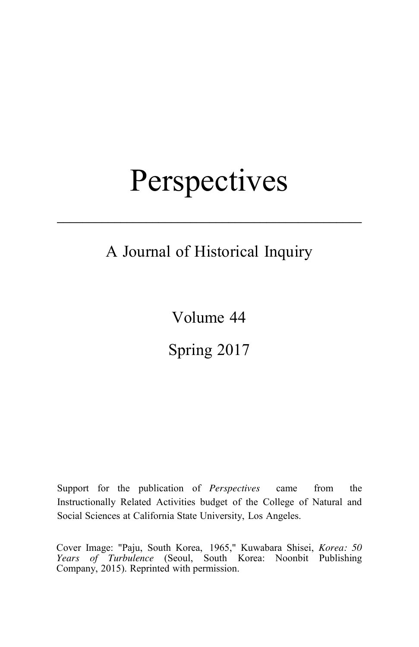# **Perspectives**

## A Journal of Historical Inquiry

**––––––––––––––––––––––––––––––––––––––––––––––––**

Volume 44

Spring 2017

Support for the publication of *Perspectives* came from the Instructionally Related Activities budget of the College of Natural and Social Sciences at California State University, Los Angeles.

Cover Image: "Paju, South Korea, 1965," Kuwabara Shisei, *Korea: 50 Years of Turbulence* (Seoul, South Korea: Noonbit Publishing Company, 2015). Reprinted with permission.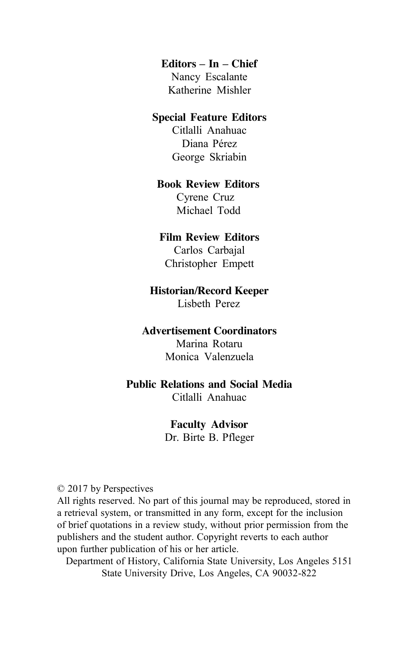#### **Editors – In – Chief**

Nancy Escalante Katherine Mishler

#### **Special Feature Editors**

Citlalli Anahuac Diana Pérez George Skriabin

#### **Book Review Editors**

Cyrene Cruz Michael Todd

#### **Film Review Editors**

Carlos Carbajal Christopher Empett

#### **Historian/Record Keeper**

Lisbeth Perez

#### **Advertisement Coordinators**

Marina Rotaru Monica Valenzuela

#### **Public Relations and Social Media**

Citlalli Anahuac

#### **Faculty Advisor**

Dr. Birte B. Pfleger

© 2017 by Perspectives

All rights reserved. No part of this journal may be reproduced, stored in a retrieval system, or transmitted in any form, except for the inclusion of brief quotations in a review study, without prior permission from the publishers and the student author. Copyright reverts to each author upon further publication of his or her article.

Department of History, California State University, Los Angeles 5151 State University Drive, Los Angeles, CA 90032-822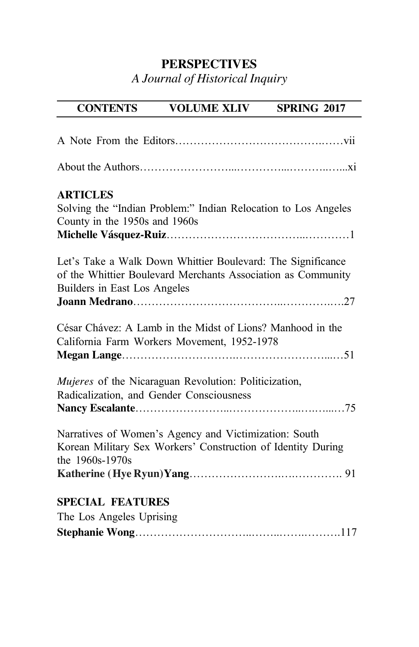### **PERSPECTIVES**

*A Journal of Historical Inquiry*

## **CONTENTS VOLUME XLIV SPRING 2017**

| <b>ARTICLES</b><br>Solving the "Indian Problem:" Indian Relocation to Los Angeles<br>County in the 1950s and 1960s                                          |
|-------------------------------------------------------------------------------------------------------------------------------------------------------------|
| Let's Take a Walk Down Whittier Boulevard: The Significance<br>of the Whittier Boulevard Merchants Association as Community<br>Builders in East Los Angeles |
| César Chávez: A Lamb in the Midst of Lions? Manhood in the<br>California Farm Workers Movement, 1952-1978                                                   |
| Mujeres of the Nicaraguan Revolution: Politicization,<br>Radicalization, and Gender Consciousness                                                           |
| Narratives of Women's Agency and Victimization: South<br>Korean Military Sex Workers' Construction of Identity During<br>the 1960s-1970s                    |
| <b>SPECIAL FEATURES</b>                                                                                                                                     |
| The Los Angeles Uprising                                                                                                                                    |
|                                                                                                                                                             |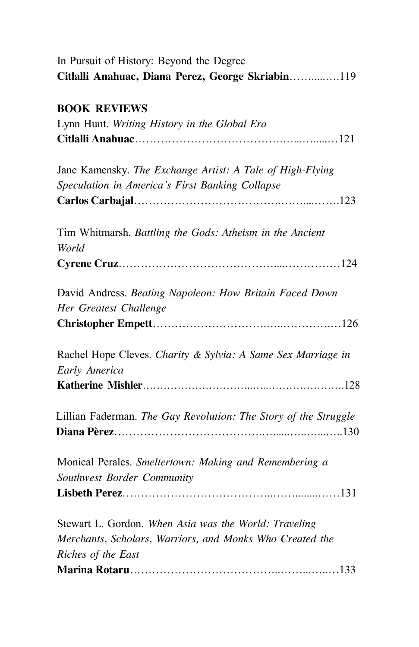| In Pursuit of History: Beyond the Degree                                          |
|-----------------------------------------------------------------------------------|
| Citlalli Anahuac, Diana Perez, George Skriabin119                                 |
| <b>BOOK REVIEWS</b>                                                               |
| Lynn Hunt. Writing History in the Global Era                                      |
|                                                                                   |
| Jane Kamensky. The Exchange Artist: A Tale of High-Flying                         |
| Speculation in America's First Banking Collapse                                   |
|                                                                                   |
| Tim Whitmarsh. Battling the Gods: Atheism in the Ancient<br>World                 |
|                                                                                   |
|                                                                                   |
| David Andress. Beating Napoleon: How Britain Faced Down<br>Her Greatest Challenge |
|                                                                                   |
|                                                                                   |
| Rachel Hope Cleves. Charity & Sylvia: A Same Sex Marriage in                      |
| Early America                                                                     |
|                                                                                   |
| Lillian Faderman. The Gay Revolution: The Story of the Struggle                   |
| Monical Perales. Smeltertown: Making and Remembering a                            |
| Southwest Border Community                                                        |
|                                                                                   |
| Stewart L. Gordon. When Asia was the World: Traveling                             |
| Merchants, Scholars, Warriors, and Monks Who Created the                          |
| Riches of the East                                                                |
|                                                                                   |